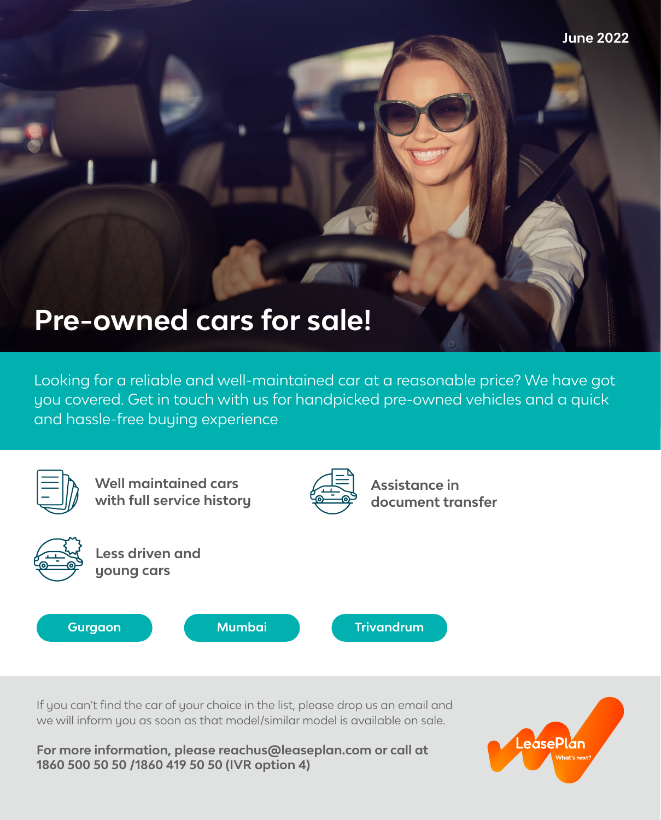

Looking for a reliable and well-maintained car at a reasonable price? We have got you covered. Get in touch with us for handpicked pre-owned vehicles and a quick and hassle-free buying experience



If you can't find the car of your choice in the list, please drop us an email and we will inform you as soon as that model/similar model is available on sale.

**For more information, please reachus@leaseplan.com or call at 1860 500 50 50 /1860 419 50 50 (IVR option 4)**